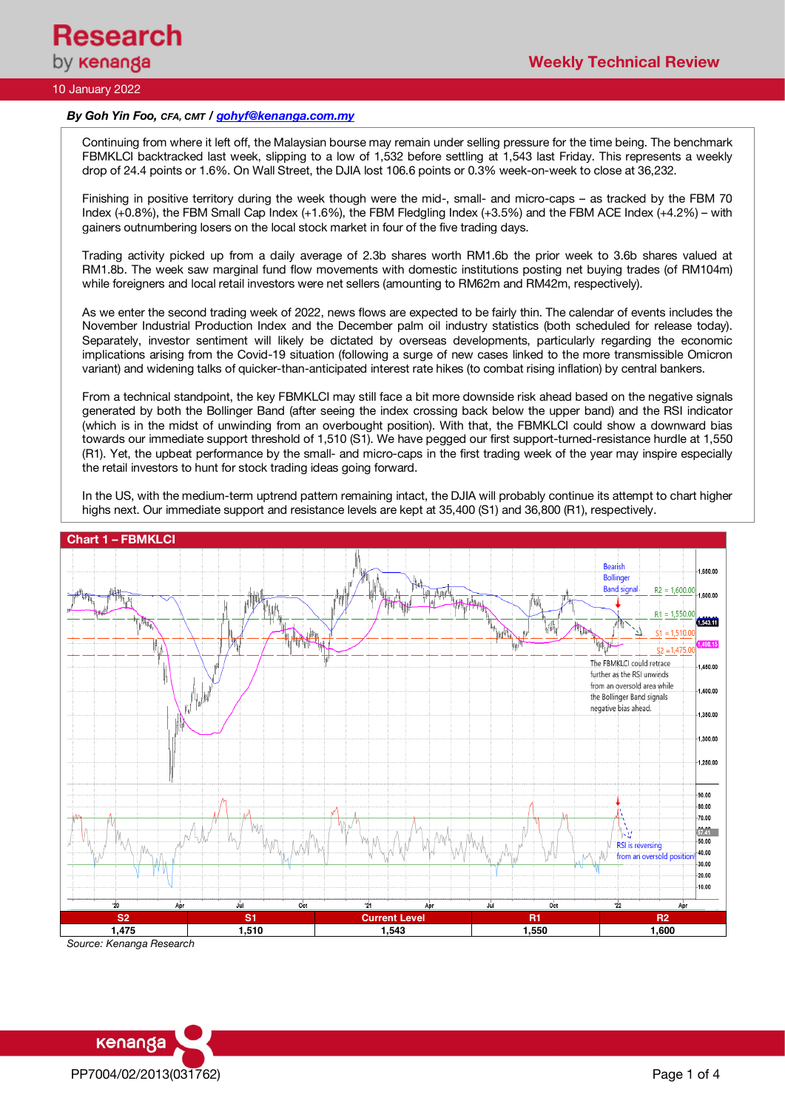

# 10 January 2022

### *By Goh Yin Foo, CFA, CMT / gohyf@kenanga.com.my*

Continuing from where it left off, the Malaysian bourse may remain under selling pressure for the time being. The benchmark FBMKLCI backtracked last week, slipping to a low of 1,532 before settling at 1,543 last Friday. This represents a weekly drop of 24.4 points or 1.6%. On Wall Street, the DJIA lost 106.6 points or 0.3% week-on-week to close at 36,232.

Finishing in positive territory during the week though were the mid-, small- and micro-caps – as tracked by the FBM 70 Index (+0.8%), the FBM Small Cap Index (+1.6%), the FBM Fledgling Index (+3.5%) and the FBM ACE Index (+4.2%) – with gainers outnumbering losers on the local stock market in four of the five trading days.

Trading activity picked up from a daily average of 2.3b shares worth RM1.6b the prior week to 3.6b shares valued at RM1.8b. The week saw marginal fund flow movements with domestic institutions posting net buying trades (of RM104m) while foreigners and local retail investors were net sellers (amounting to RM62m and RM42m, respectively).

As we enter the second trading week of 2022, news flows are expected to be fairly thin. The calendar of events includes the November Industrial Production Index and the December palm oil industry statistics (both scheduled for release today). Separately, investor sentiment will likely be dictated by overseas developments, particularly regarding the economic implications arising from the Covid-19 situation (following a surge of new cases linked to the more transmissible Omicron variant) and widening talks of quicker-than-anticipated interest rate hikes (to combat rising inflation) by central bankers.

From a technical standpoint, the key FBMKLCI may still face a bit more downside risk ahead based on the negative signals generated by both the Bollinger Band (after seeing the index crossing back below the upper band) and the RSI indicator (which is in the midst of unwinding from an overbought position). With that, the FBMKLCI could show a downward bias towards our immediate support threshold of 1,510 (S1). We have pegged our first support-turned-resistance hurdle at 1,550 (R1). Yet, the upbeat performance by the small- and micro-caps in the first trading week of the year may inspire especially the retail investors to hunt for stock trading ideas going forward.

In the US, with the medium-term uptrend pattern remaining intact, the DJIA will probably continue its attempt to chart higher highs next. Our immediate support and resistance levels are kept at 35,400 (S1) and 36,800 (R1), respectively.



*Source: Kenanga Research*

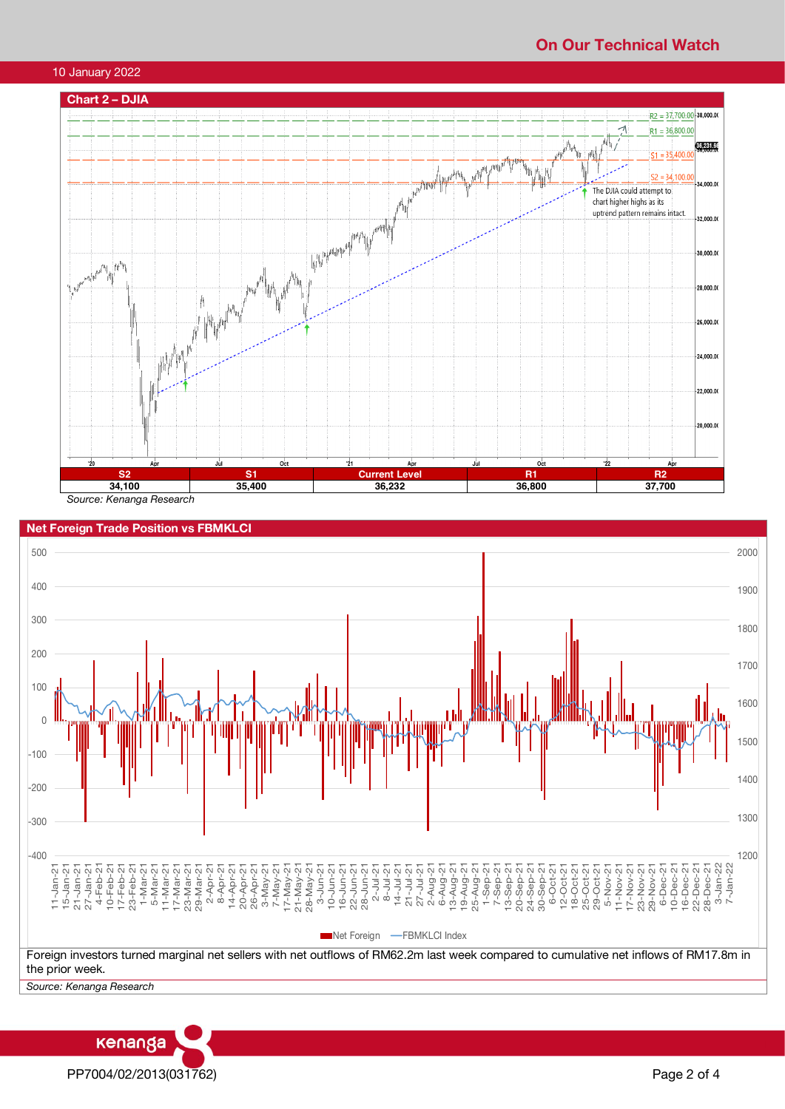## **On Our Technical Watch**



*Source: Kenanga Research*



**Net Foreign Trade Position vs FBMKLCI**

PP7004/02/2013(031762) Page 2 of 4

kenanga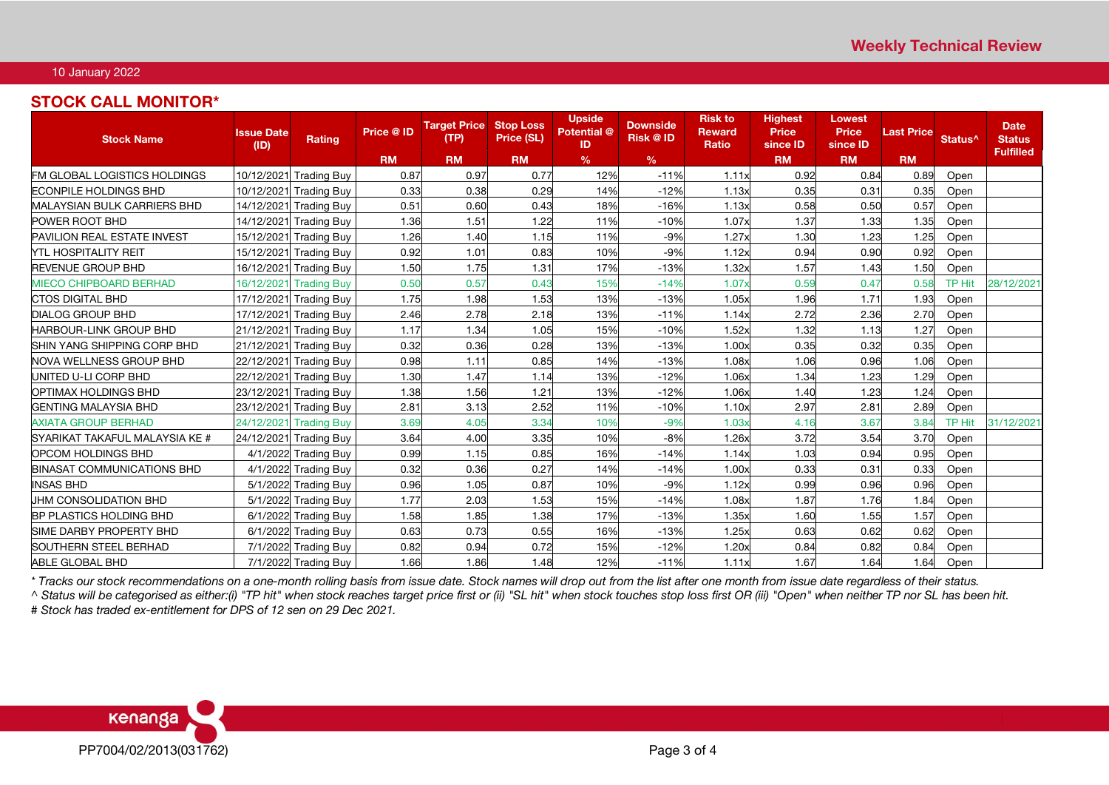## 10 January 2022

## **STOCK CALL MONITOR\***

| <b>Stock Name</b>                  | <b>Issue Date</b><br>(ID) | <b>Rating</b>          | Price @ ID | <b>Target Price Stop Loss</b><br>(TP) | Price (SL) | <b>Upside</b><br>Potential <sup>@</sup><br>ID | <b>Downside</b><br><b>Risk @ ID</b> | <b>Risk to</b><br><b>Reward</b><br><b>Ratio</b> | <b>Highest</b><br><b>Price</b><br>since <b>ID</b> | <b>Lowest</b><br><b>Price</b><br>since <b>ID</b> | <b>Last Price</b> | Status <sup>^</sup> | <b>Date</b><br><b>Status</b> |
|------------------------------------|---------------------------|------------------------|------------|---------------------------------------|------------|-----------------------------------------------|-------------------------------------|-------------------------------------------------|---------------------------------------------------|--------------------------------------------------|-------------------|---------------------|------------------------------|
|                                    |                           |                        | <b>RM</b>  | <b>RM</b>                             | <b>RM</b>  | $\%$                                          | $\frac{9}{6}$                       |                                                 | <b>RM</b>                                         | <b>RM</b>                                        | <b>RM</b>         |                     | <b>Fulfilled</b>             |
| FM GLOBAL LOGISTICS HOLDINGS       | 10/12/2021                | <b>Trading Buy</b>     | 0.87       | 0.97                                  | 0.77       | 12%                                           | $-11%$                              | 1.11x                                           | 0.92                                              | 0.84                                             | 0.89              | Open                |                              |
| ECONPILE HOLDINGS BHD              |                           | 10/12/2021 Trading Buy | 0.33       | 0.38                                  | 0.29       | 14%                                           | $-12%$                              | 1.13x                                           | 0.35                                              | 0.31                                             | 0.35              | Open                |                              |
| <b>MALAYSIAN BULK CARRIERS BHD</b> | 14/12/2021                | <b>Trading Buy</b>     | 0.51       | 0.60                                  | 0.43       | 18%                                           | $-16%$                              | 1.13x                                           | 0.58                                              | 0.50                                             | 0.57              | Open                |                              |
| POWER ROOT BHD                     |                           | 14/12/2021 Trading Buy | 1.36       | 1.51                                  | 1.22       | 11%                                           | $-10%$                              | 1.07x                                           | 1.37                                              | 1.33                                             | 1.35              | Open                |                              |
| <b>PAVILION REAL ESTATE INVEST</b> | 15/12/2021                | <b>Trading Buy</b>     | 1.26       | 1.40                                  | 1.15       | 11%                                           | $-9%$                               | 1.27x                                           | 1.30                                              | 1.23                                             | 1.25              | Open                |                              |
| <b>YTL HOSPITALITY REIT</b>        |                           | 15/12/2021 Trading Buy | 0.92       | 1.01                                  | 0.83       | 10%                                           | $-9%$                               | 1.12x                                           | 0.94                                              | 0.90                                             | 0.92              | Open                |                              |
| <b>REVENUE GROUP BHD</b>           | 16/12/2021                | <b>Trading Buy</b>     | 1.50       | 1.75                                  | 1.31       | 17%                                           | $-13%$                              | 1.32x                                           | 1.57                                              | 1.43                                             | 1.50              | Open                |                              |
| <b>MIECO CHIPBOARD BERHAD</b>      | 16/12/2021                | <b>Trading Buy</b>     | 0.50       | 0.57                                  | 0.43       | 15%                                           | $-14%$                              | 1.07 <sub>2</sub>                               | 0.59                                              | 0.47                                             | 0.58              | TP Hit              | 28/12/2021                   |
| <b>CTOS DIGITAL BHD</b>            | 17/12/2021                | <b>Trading Buy</b>     | 1.75       | 1.98                                  | 1.53       | 13%                                           | $-13%$                              | 1.05x                                           | 1.96                                              | 1.71                                             | 1.93              | Open                |                              |
| <b>DIALOG GROUP BHD</b>            | 17/12/2021                | <b>Trading Buy</b>     | 2.46       | 2.78                                  | 2.18       | 13%                                           | $-11%$                              | 1.14x                                           | 2.72                                              | 2.36                                             | 2.70              | Open                |                              |
| <b>HARBOUR-LINK GROUP BHD</b>      | 21/12/2021                | <b>Trading Buy</b>     | 1.17       | 1.34                                  | 1.05       | 15%                                           | $-10%$                              | 1.52x                                           | 1.32                                              | 1.13                                             | 1.27              | Open                |                              |
| SHIN YANG SHIPPING CORP BHD        | 21/12/2021                | <b>Trading Buy</b>     | 0.32       | 0.36                                  | 0.28       | 13%                                           | $-13%$                              | 1.00x                                           | 0.35                                              | 0.32                                             | 0.35              | Open                |                              |
| NOVA WELLNESS GROUP BHD            | 22/12/2021                | <b>Trading Buy</b>     | 0.98       | 1.11                                  | 0.85       | 14%                                           | $-13%$                              | 1.08x                                           | 1.06                                              | 0.96                                             | 1.06              | Open                |                              |
| JNITED U-LI CORP BHD               | 22/12/2021                | <b>Trading Buy</b>     | 1.30       | 1.47                                  | 1.14       | 13%                                           | $-12%$                              | 1.06x                                           | 1.34                                              | 1.23                                             | 1.29              | Open                |                              |
| OPTIMAX HOLDINGS BHD               | 23/12/2021                | <b>Trading Buy</b>     | 1.38       | 1.56                                  | 1.21       | 13%                                           | $-12%$                              | 1.06x                                           | 1.40                                              | 1.23                                             | 1.24              | Open                |                              |
| <b>GENTING MALAYSIA BHD</b>        | 23/12/2021                | <b>Trading Buy</b>     | 2.81       | 3.13                                  | 2.52       | 11%                                           | $-10%$                              | 1.10x                                           | 2.97                                              | 2.81                                             | 2.89              | Open                |                              |
| <b>AXIATA GROUP BERHAD</b>         | 24/12/2021                | <b>Trading Buy</b>     | 3.69       | 4.05                                  | 3.34       | 10%                                           | $-9%$                               | 1.03 <sub>2</sub>                               | 4.16                                              | 3.67                                             | 3.84              | TP Hit              | 31/12/2021                   |
| SYARIKAT TAKAFUL MALAYSIA KE #     | 24/12/2021                | <b>Trading Buy</b>     | 3.64       | 4.00                                  | 3.35       | 10%                                           | $-8%$                               | 1.26x                                           | 3.72                                              | 3.54                                             | 3.70              | Open                |                              |
| OPCOM HOLDINGS BHD                 |                           | 4/1/2022 Trading Buy   | 0.99       | 1.15                                  | 0.85       | 16%                                           | $-14%$                              | 1.14x                                           | 1.03                                              | 0.94                                             | 0.95              | Open                |                              |
| <b>BINASAT COMMUNICATIONS BHD</b>  |                           | 4/1/2022 Trading Buy   | 0.32       | 0.36                                  | 0.27       | 14%                                           | $-14%$                              | 1.00x                                           | 0.33                                              | 0.31                                             | 0.33              | Open                |                              |
| <b>INSAS BHD</b>                   |                           | 5/1/2022 Trading Buy   | 0.96       | 1.05                                  | 0.87       | 10%                                           | $-9%$                               | 1.12x                                           | 0.99                                              | 0.96                                             | 0.96              | Open                |                              |
| <b>UHM CONSOLIDATION BHD</b>       |                           | 5/1/2022 Trading Buy   | 1.77       | 2.03                                  | 1.53       | 15%                                           | $-14%$                              | 1.08x                                           | 1.87                                              | 1.76                                             | 1.84              | Open                |                              |
| <b>BP PLASTICS HOLDING BHD</b>     |                           | 6/1/2022 Trading Buy   | 1.58       | 1.85                                  | 1.38       | 17%                                           | $-13%$                              | 1.35x                                           | 1.60                                              | 1.55                                             | 1.57              | Open                |                              |
| SIME DARBY PROPERTY BHD            |                           | 6/1/2022 Trading Buy   | 0.63       | 0.73                                  | 0.55       | 16%                                           | $-13%$                              | 1.25x                                           | 0.63                                              | 0.62                                             | 0.62              | Open                |                              |
| <b>SOUTHERN STEEL BERHAD</b>       |                           | 7/1/2022 Trading Buy   | 0.82       | 0.94                                  | 0.72       | 15%                                           | $-12%$                              | 1.20x                                           | 0.84                                              | 0.82                                             | 0.84              | Open                |                              |
| ABLE GLOBAL BHD                    |                           | 7/1/2022 Trading Buy   | 1.66       | 1.86                                  | 1.48       | 12%                                           | $-11%$                              | 1.11x                                           | 1.67                                              | 1.64                                             | 1.64              | Open                |                              |

*\* Tracks our stock recommendations on a one-month rolling basis from issue date. Stock names will drop out from the list after one month from issue date regardless of their status.*

*^ Status will be categorised as either:(i) "TP hit" when stock reaches target price first or (ii) "SL hit" when stock touches stop loss first OR (iii) "Open" when neither TP nor SL has been hit. # Stock has traded ex-entitlement for DPS of 12 sen on 29 Dec 2021.*